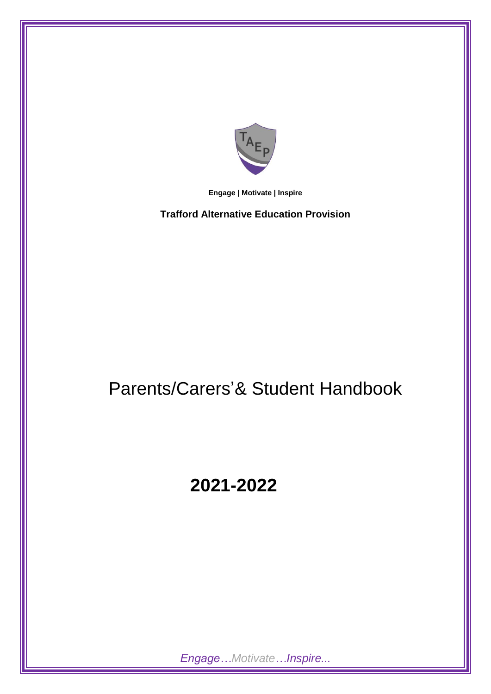

**Engage | Motivate | Inspire**

**Trafford Alternative Education Provision**

# Parents/Carers'& Student Handbook

# **2021-2022**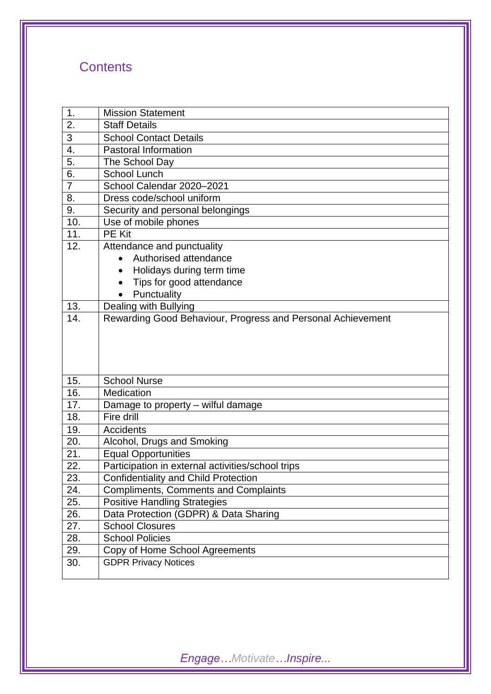# **Contents**

| 1.               | <b>Mission Statement</b>                                                           |  |  |  |
|------------------|------------------------------------------------------------------------------------|--|--|--|
| $\overline{2}$ . | <b>Staff Details</b>                                                               |  |  |  |
| 3                | <b>School Contact Details</b>                                                      |  |  |  |
| 4.               | <b>Pastoral Information</b>                                                        |  |  |  |
| 5.               | The School Day                                                                     |  |  |  |
| 6.               | <b>School Lunch</b>                                                                |  |  |  |
| $\overline{7}$   | School Calendar 2020-2021                                                          |  |  |  |
| 8.               | Dress code/school uniform                                                          |  |  |  |
| 9.               | Security and personal belongings                                                   |  |  |  |
| 10.              | Use of mobile phones                                                               |  |  |  |
| 11.              | <b>PE Kit</b>                                                                      |  |  |  |
| 12.              | Attendance and punctuality                                                         |  |  |  |
|                  | Authorised attendance<br>$\bullet$                                                 |  |  |  |
|                  | Holidays during term time                                                          |  |  |  |
|                  | Tips for good attendance                                                           |  |  |  |
|                  | Punctuality                                                                        |  |  |  |
| 13.              | Dealing with Bullying                                                              |  |  |  |
| 14.              | Rewarding Good Behaviour, Progress and Personal Achievement                        |  |  |  |
|                  |                                                                                    |  |  |  |
|                  |                                                                                    |  |  |  |
|                  |                                                                                    |  |  |  |
|                  |                                                                                    |  |  |  |
|                  |                                                                                    |  |  |  |
| 15.              | <b>School Nurse</b>                                                                |  |  |  |
| 16.              | Medication                                                                         |  |  |  |
| 17.              |                                                                                    |  |  |  |
| 18.              | Damage to property – wilful damage<br>Fire drill                                   |  |  |  |
| 19.              | <b>Accidents</b>                                                                   |  |  |  |
| 20.              |                                                                                    |  |  |  |
| 21.              | Alcohol, Drugs and Smoking<br><b>Equal Opportunities</b>                           |  |  |  |
| 22.              |                                                                                    |  |  |  |
|                  | Participation in external activities/school trips                                  |  |  |  |
| 23.<br>24.       | Confidentiality and Child Protection                                               |  |  |  |
| 25.              | <b>Compliments, Comments and Complaints</b><br><b>Positive Handling Strategies</b> |  |  |  |
| 26.              | Data Protection (GDPR) & Data Sharing                                              |  |  |  |
| 27.              | <b>School Closures</b>                                                             |  |  |  |
| 28.              | <b>School Policies</b>                                                             |  |  |  |
| 29.              |                                                                                    |  |  |  |
| 30.              | Copy of Home School Agreements<br><b>GDPR Privacy Notices</b>                      |  |  |  |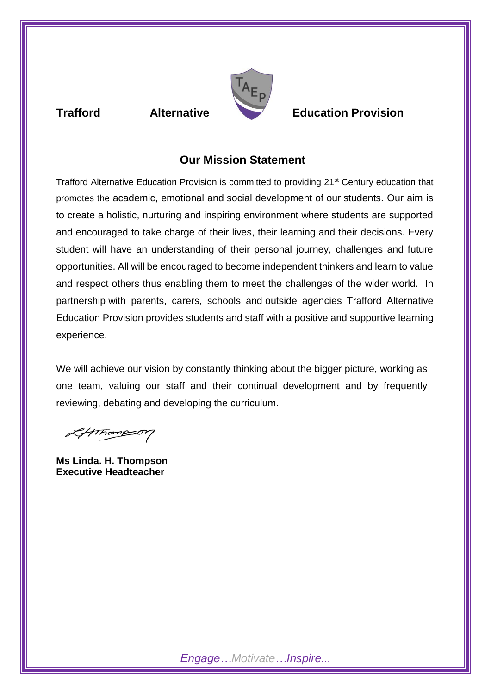

# **Trafford Alternative Education Provision**

# **Our Mission Statement**

Trafford Alternative Education Provision is committed to providing 21<sup>st</sup> Century education that promotes the academic, emotional and social development of our students. Our aim is to create a holistic, nurturing and inspiring environment where students are supported and encouraged to take charge of their lives, their learning and their decisions. Every student will have an understanding of their personal journey, challenges and future opportunities. All will be encouraged to become independent thinkers and learn to value and respect others thus enabling them to meet the challenges of the wider world. In partnership with parents, carers, schools and outside agencies Trafford Alternative Education Provision provides students and staff with a positive and supportive learning experience.

We will achieve our vision by constantly thinking about the bigger picture, working as one team, valuing our staff and their continual development and by frequently reviewing, debating and developing the curriculum.

Letthompson

**Ms Linda. H. Thompson Executive Headteacher**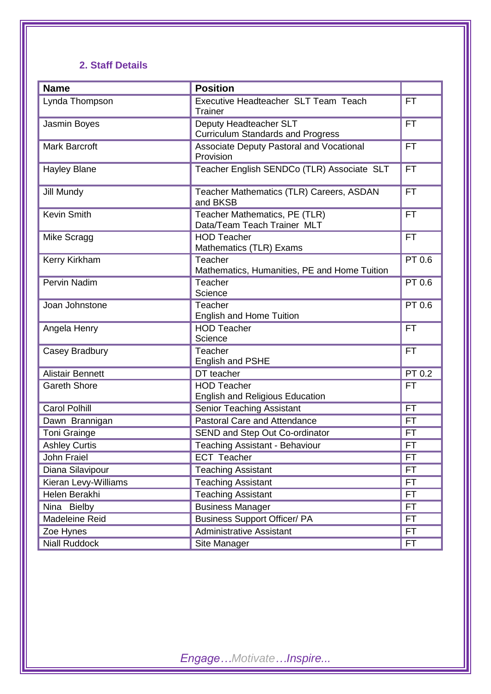# **2. Staff Details**

| <b>Name</b>             | <b>Position</b>                                                    |           |
|-------------------------|--------------------------------------------------------------------|-----------|
| Lynda Thompson          | Executive Headteacher SLT Team Teach<br>Trainer                    | FT        |
| Jasmin Boyes            | Deputy Headteacher SLT<br><b>Curriculum Standards and Progress</b> | <b>FT</b> |
| Mark Barcroft           | Associate Deputy Pastoral and Vocational<br>Provision              | <b>FT</b> |
| <b>Hayley Blane</b>     | Teacher English SENDCo (TLR) Associate SLT                         | <b>FT</b> |
| Jill Mundy              | Teacher Mathematics (TLR) Careers, ASDAN<br>and BKSB               | <b>FT</b> |
| <b>Kevin Smith</b>      | Teacher Mathematics, PE (TLR)<br>Data/Team Teach Trainer MLT       | FT        |
| Mike Scragg             | <b>HOD Teacher</b><br>Mathematics (TLR) Exams                      | <b>FT</b> |
| Kerry Kirkham           | Teacher<br>Mathematics, Humanities, PE and Home Tuition            | PT 0.6    |
| Pervin Nadim            | Teacher<br>Science                                                 | PT 0.6    |
| Joan Johnstone          | Teacher<br><b>English and Home Tuition</b>                         | PT 0.6    |
| Angela Henry            | <b>HOD Teacher</b><br>Science                                      | <b>FT</b> |
| Casey Bradbury          | Teacher<br>English and PSHE                                        | <b>FT</b> |
| <b>Alistair Bennett</b> | DT teacher                                                         | PT 0.2    |
| <b>Gareth Shore</b>     | <b>HOD Teacher</b><br><b>English and Religious Education</b>       | <b>FT</b> |
| <b>Carol Polhill</b>    | <b>Senior Teaching Assistant</b>                                   | <b>FT</b> |
| Dawn Brannigan          | Pastoral Care and Attendance                                       | <b>FT</b> |
| <b>Toni Grainge</b>     | SEND and Step Out Co-ordinator                                     | FT        |
| <b>Ashley Curtis</b>    | Teaching Assistant - Behaviour                                     | <b>FT</b> |
| John Fraiel             | <b>ECT Teacher</b>                                                 | FT.       |
| Diana Silavipour        | <b>Teaching Assistant</b>                                          | FT        |
| Kieran Levy-Williams    | Teaching Assistant                                                 | FT.       |
| Helen Berakhi           | <b>Teaching Assistant</b>                                          | FT.       |
| Nina Bielby             | <b>Business Manager</b>                                            | FT        |
| Madeleine Reid          | <b>Business Support Officer/ PA</b>                                | FT        |
| Zoe Hynes               | <b>Administrative Assistant</b>                                    | FT        |
| <b>Niall Ruddock</b>    | Site Manager                                                       | FT.       |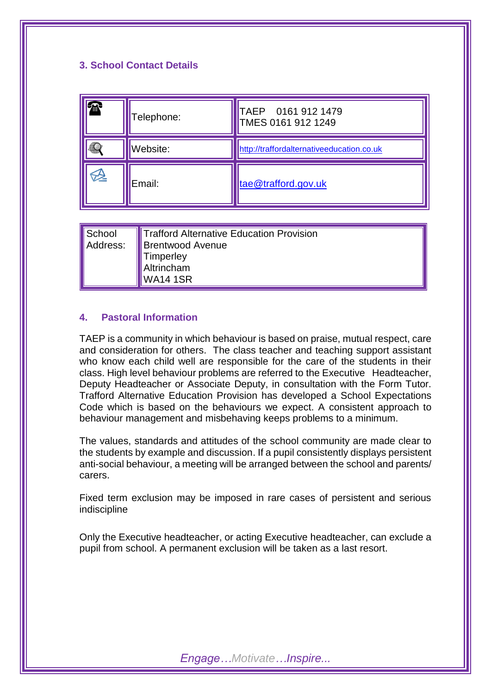# **3. School Contact Details**



**School** Address: Trafford Alternative Education Provision Brentwood Avenue **Timperley** Altrincham WA14 1SR

# **4. Pastoral Information**

TAEP is a community in which behaviour is based on praise, mutual respect, care and consideration for others. The class teacher and teaching support assistant who know each child well are responsible for the care of the students in their class. High level behaviour problems are referred to the Executive Headteacher, Deputy Headteacher or Associate Deputy, in consultation with the Form Tutor. Trafford Alternative Education Provision has developed a School Expectations Code which is based on the behaviours we expect. A consistent approach to behaviour management and misbehaving keeps problems to a minimum.

The values, standards and attitudes of the school community are made clear to the students by example and discussion. If a pupil consistently displays persistent anti-social behaviour, a meeting will be arranged between the school and parents/ carers.

Fixed term exclusion may be imposed in rare cases of persistent and serious indiscipline

Only the Executive headteacher, or acting Executive headteacher, can exclude a pupil from school. A permanent exclusion will be taken as a last resort.

*Engage…Motivate…Inspire...*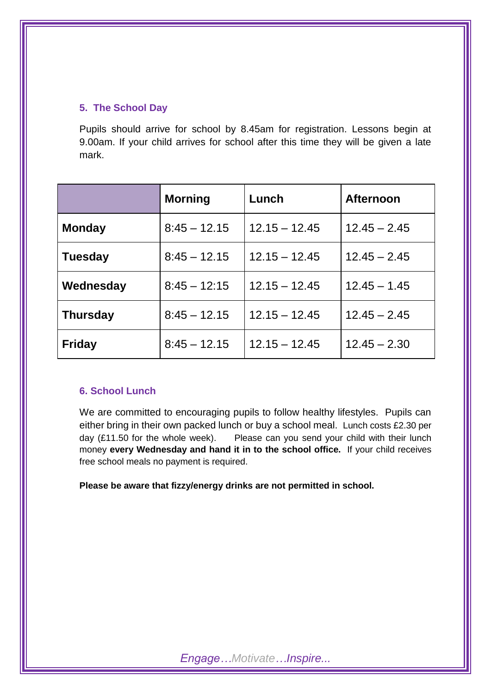# **5. The School Day**

Pupils should arrive for school by 8.45am for registration. Lessons begin at 9.00am. If your child arrives for school after this time they will be given a late mark.

|                 | <b>Morning</b>                    | Lunch           | <b>Afternoon</b> |
|-----------------|-----------------------------------|-----------------|------------------|
| <b>Monday</b>   | $8:45 - 12.15$<br>$12.15 - 12.45$ |                 | $12.45 - 2.45$   |
| <b>Tuesday</b>  | $8:45 - 12.15$                    | $12.15 - 12.45$ | $12.45 - 2.45$   |
| Wednesday       | $8:45 - 12:15$                    | $12.15 - 12.45$ | $12.45 - 1.45$   |
| <b>Thursday</b> | $8:45 - 12.15$                    | $12.15 - 12.45$ | $12.45 - 2.45$   |
| <b>Friday</b>   | $8:45 - 12.15$                    | $12.15 - 12.45$ | $12.45 - 2.30$   |

# **6. School Lunch**

We are committed to encouraging pupils to follow healthy lifestyles. Pupils can either bring in their own packed lunch or buy a school meal. Lunch costs £2.30 per day (£11.50 for the whole week). Please can you send your child with their lunch money **every Wednesday and hand it in to the school office.** If your child receives free school meals no payment is required.

**Please be aware that fizzy/energy drinks are not permitted in school.**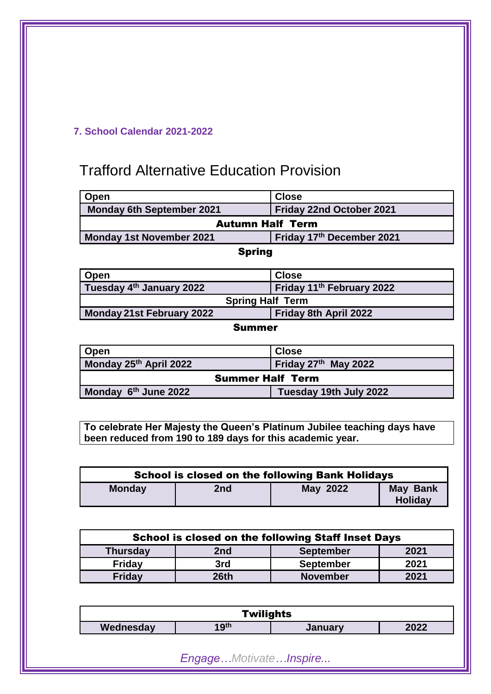# **7. School Calendar 2021-2022**

# Trafford Alternative Education Provision

| Open                             | <b>Close</b>              |  |  |
|----------------------------------|---------------------------|--|--|
| <b>Monday 6th September 2021</b> | Friday 22nd October 2021  |  |  |
| <b>Autumn Half Term</b>          |                           |  |  |
| <b>Monday 1st November 2021</b>  | Friday 17th December 2021 |  |  |
|                                  |                           |  |  |

# Spring

| Open                                 | <b>Close</b>                          |  |  |
|--------------------------------------|---------------------------------------|--|--|
| Tuesday 4 <sup>th</sup> January 2022 | Friday 11 <sup>th</sup> February 2022 |  |  |
| <b>Spring Half Term</b>              |                                       |  |  |
| Monday 21st February 2022            | Friday 8th April 2022                 |  |  |

Summer

| <b>Open</b>             | <b>Close</b>           |  |  |
|-------------------------|------------------------|--|--|
| Monday 25th April 2022  | Friday 27th May 2022   |  |  |
| <b>Summer Half Term</b> |                        |  |  |
| Monday 6th June 2022    | Tuesday 19th July 2022 |  |  |

**To celebrate Her Majesty the Queen's Platinum Jubilee teaching days have been reduced from 190 to 189 days for this academic year.**

| <b>School is closed on the following Bank Holidays</b> |     |                 |                                   |
|--------------------------------------------------------|-----|-----------------|-----------------------------------|
| <b>Monday</b>                                          | 2nd | <b>May 2022</b> | <b>May Bank</b><br><b>Holiday</b> |

| <b>School is closed on the following Staff Inset Days</b> |      |                  |      |  |
|-----------------------------------------------------------|------|------------------|------|--|
| <b>Thursday</b>                                           | 2nd  | <b>September</b> | 2021 |  |
| <b>Friday</b>                                             | 3rd  | <b>September</b> | 2021 |  |
| <b>Friday</b>                                             | 26th | <b>November</b>  | 2021 |  |

| <b>Twilights</b>                                 |  |  |  |  |
|--------------------------------------------------|--|--|--|--|
| 19 <sup>th</sup><br>2022<br>Wednesday<br>January |  |  |  |  |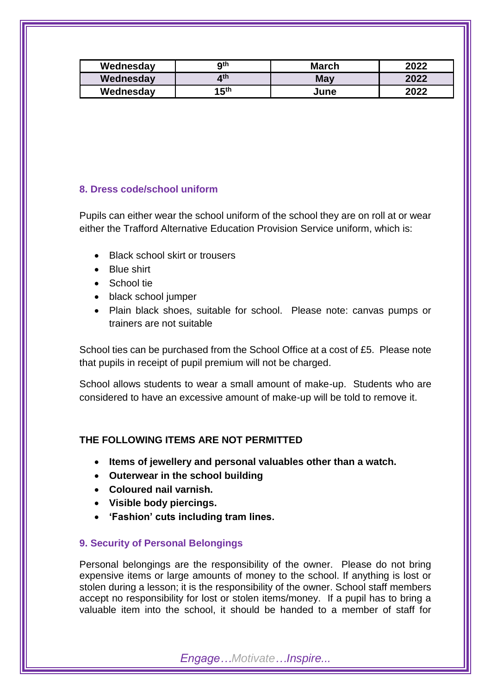| Wednesday | Qth            | <b>March</b> | 2022 |
|-----------|----------------|--------------|------|
| Wednesday | ⊿th            | May          | 2022 |
| Wednesday | 15 $^{\rm th}$ | June         | 2022 |

# **8. Dress code/school uniform**

Pupils can either wear the school uniform of the school they are on roll at or wear either the Trafford Alternative Education Provision Service uniform, which is:

- Black school skirt or trousers
- Blue shirt
- School tie
- black school jumper
- Plain black shoes, suitable for school. Please note: canvas pumps or trainers are not suitable

School ties can be purchased from the School Office at a cost of £5. Please note that pupils in receipt of pupil premium will not be charged.

School allows students to wear a small amount of make-up. Students who are considered to have an excessive amount of make-up will be told to remove it.

# **THE FOLLOWING ITEMS ARE NOT PERMITTED**

- **Items of jewellery and personal valuables other than a watch.**
- **Outerwear in the school building**
- **Coloured nail varnish.**
- **Visible body piercings.**
- **'Fashion' cuts including tram lines.**

# **9. Security of Personal Belongings**

Personal belongings are the responsibility of the owner. Please do not bring expensive items or large amounts of money to the school. If anything is lost or stolen during a lesson; it is the responsibility of the owner. School staff members accept no responsibility for lost or stolen items/money. If a pupil has to bring a valuable item into the school, it should be handed to a member of staff for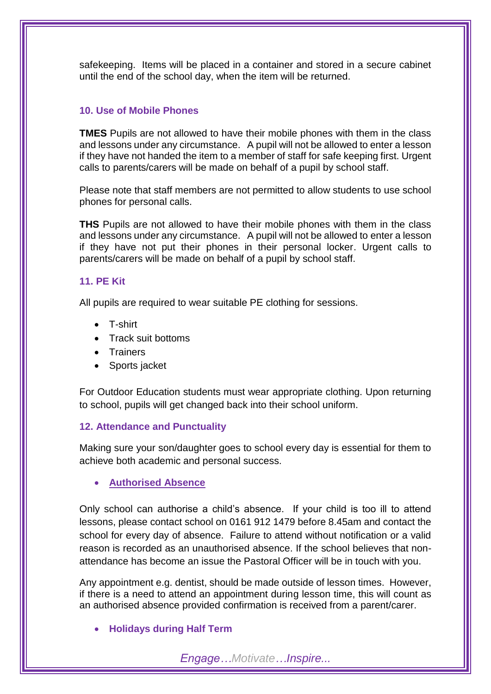safekeeping. Items will be placed in a container and stored in a secure cabinet until the end of the school day, when the item will be returned.

# **10. Use of Mobile Phones**

**TMES** Pupils are not allowed to have their mobile phones with them in the class and lessons under any circumstance. A pupil will not be allowed to enter a lesson if they have not handed the item to a member of staff for safe keeping first. Urgent calls to parents/carers will be made on behalf of a pupil by school staff.

Please note that staff members are not permitted to allow students to use school phones for personal calls.

**THS** Pupils are not allowed to have their mobile phones with them in the class and lessons under any circumstance. A pupil will not be allowed to enter a lesson if they have not put their phones in their personal locker. Urgent calls to parents/carers will be made on behalf of a pupil by school staff.

# **11. PE Kit**

All pupils are required to wear suitable PE clothing for sessions.

- T-shirt
- Track suit bottoms
- **Trainers**
- Sports jacket

For Outdoor Education students must wear appropriate clothing. Upon returning to school, pupils will get changed back into their school uniform.

# **12. Attendance and Punctuality**

Making sure your son/daughter goes to school every day is essential for them to achieve both academic and personal success.

**Authorised Absence**

Only school can authorise a child's absence. If your child is too ill to attend lessons, please contact school on 0161 912 1479 before 8.45am and contact the school for every day of absence. Failure to attend without notification or a valid reason is recorded as an unauthorised absence. If the school believes that nonattendance has become an issue the Pastoral Officer will be in touch with you.

Any appointment e.g. dentist, should be made outside of lesson times. However, if there is a need to attend an appointment during lesson time, this will count as an authorised absence provided confirmation is received from a parent/carer.

# **Holidays during Half Term**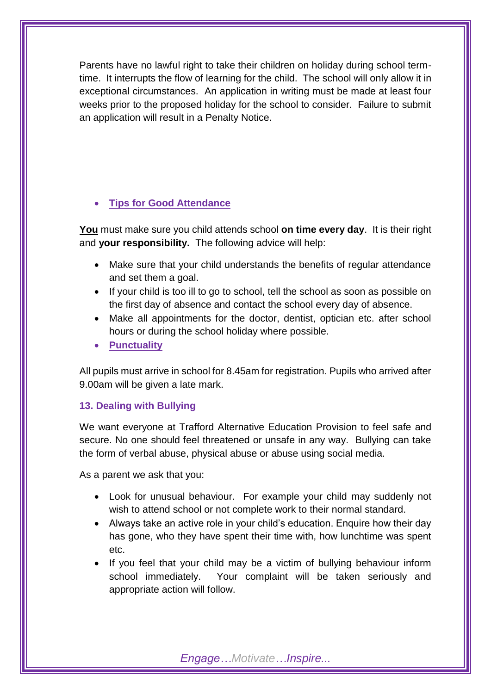Parents have no lawful right to take their children on holiday during school termtime. It interrupts the flow of learning for the child. The school will only allow it in exceptional circumstances. An application in writing must be made at least four weeks prior to the proposed holiday for the school to consider. Failure to submit an application will result in a Penalty Notice.

# **Tips for Good Attendance**

**You** must make sure you child attends school **on time every day**. It is their right and **your responsibility.** The following advice will help:

- Make sure that your child understands the benefits of regular attendance and set them a goal.
- If your child is too ill to go to school, tell the school as soon as possible on the first day of absence and contact the school every day of absence.
- Make all appointments for the doctor, dentist, optician etc. after school hours or during the school holiday where possible.
- **Punctuality**

All pupils must arrive in school for 8.45am for registration. Pupils who arrived after 9.00am will be given a late mark.

## **13. Dealing with Bullying**

We want everyone at Trafford Alternative Education Provision to feel safe and secure. No one should feel threatened or unsafe in any way. Bullying can take the form of verbal abuse, physical abuse or abuse using social media.

As a parent we ask that you:

- Look for unusual behaviour. For example your child may suddenly not wish to attend school or not complete work to their normal standard.
- Always take an active role in your child's education. Enquire how their day has gone, who they have spent their time with, how lunchtime was spent etc.
- If you feel that your child may be a victim of bullying behaviour inform school immediately. Your complaint will be taken seriously and appropriate action will follow.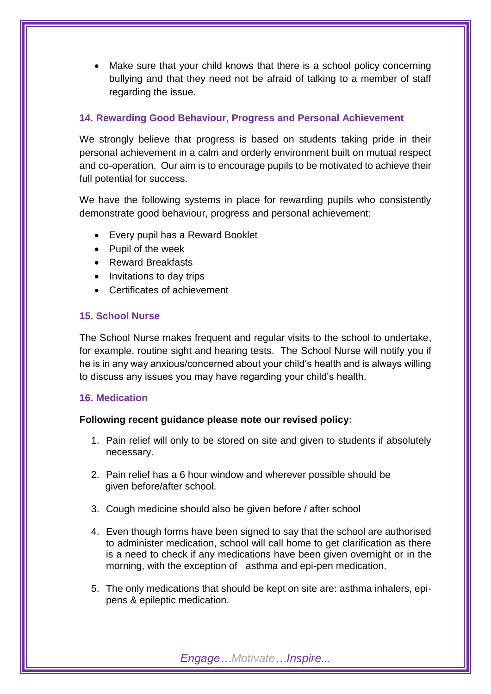Make sure that your child knows that there is a school policy concerning bullying and that they need not be afraid of talking to a member of staff regarding the issue.

# **14. Rewarding Good Behaviour, Progress and Personal Achievement**

We strongly believe that progress is based on students taking pride in their personal achievement in a calm and orderly environment built on mutual respect and co-operation. Our aim is to encourage pupils to be motivated to achieve their full potential for success.

We have the following systems in place for rewarding pupils who consistently demonstrate good behaviour, progress and personal achievement:

- Every pupil has a Reward Booklet
- Pupil of the week
- Reward Breakfasts
- Invitations to day trips
- Certificates of achievement

# **15. School Nurse**

The School Nurse makes frequent and regular visits to the school to undertake, for example, routine sight and hearing tests. The School Nurse will notify you if he is in any way anxious/concerned about your child's health and is always willing to discuss any issues you may have regarding your child's health.

# **16. Medication**

# **Following recent guidance please note our revised policy:**

- 1. Pain relief will only to be stored on site and given to students if absolutely necessary.
- 2. Pain relief has a 6 hour window and wherever possible should be given before/after school.
- 3. Cough medicine should also be given before / after school
- 4. Even though forms have been signed to say that the school are authorised to administer medication, school will call home to get clarification as there is a need to check if any medications have been given overnight or in the morning, with the exception of asthma and epi-pen medication.
- 5. The only medications that should be kept on site are: asthma inhalers, epipens & epileptic medication.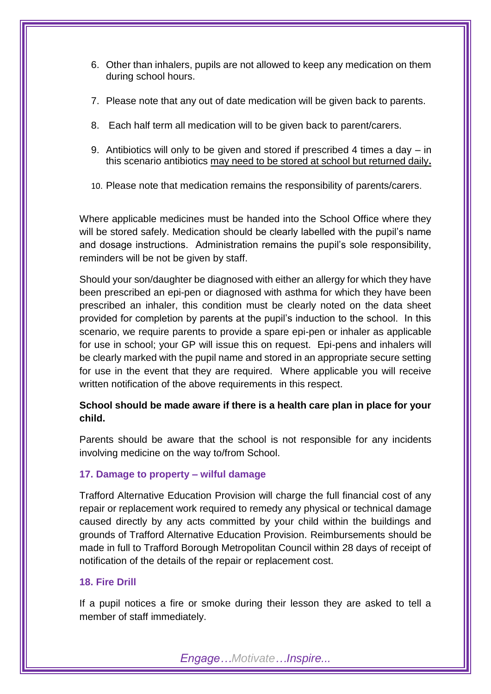- 6. Other than inhalers, pupils are not allowed to keep any medication on them during school hours.
- 7. Please note that any out of date medication will be given back to parents.
- 8. Each half term all medication will to be given back to parent/carers.
- 9. Antibiotics will only to be given and stored if prescribed 4 times a day in this scenario antibiotics may need to be stored at school but returned daily**.**
- 10. Please note that medication remains the responsibility of parents/carers.

Where applicable medicines must be handed into the School Office where they will be stored safely. Medication should be clearly labelled with the pupil's name and dosage instructions. Administration remains the pupil's sole responsibility, reminders will be not be given by staff.

Should your son/daughter be diagnosed with either an allergy for which they have been prescribed an epi-pen or diagnosed with asthma for which they have been prescribed an inhaler, this condition must be clearly noted on the data sheet provided for completion by parents at the pupil's induction to the school. In this scenario, we require parents to provide a spare epi-pen or inhaler as applicable for use in school; your GP will issue this on request. Epi-pens and inhalers will be clearly marked with the pupil name and stored in an appropriate secure setting for use in the event that they are required. Where applicable you will receive written notification of the above requirements in this respect.

# **School should be made aware if there is a health care plan in place for your child.**

Parents should be aware that the school is not responsible for any incidents involving medicine on the way to/from School.

# **17. Damage to property – wilful damage**

Trafford Alternative Education Provision will charge the full financial cost of any repair or replacement work required to remedy any physical or technical damage caused directly by any acts committed by your child within the buildings and grounds of Trafford Alternative Education Provision. Reimbursements should be made in full to Trafford Borough Metropolitan Council within 28 days of receipt of notification of the details of the repair or replacement cost.

## **18. Fire Drill**

If a pupil notices a fire or smoke during their lesson they are asked to tell a member of staff immediately.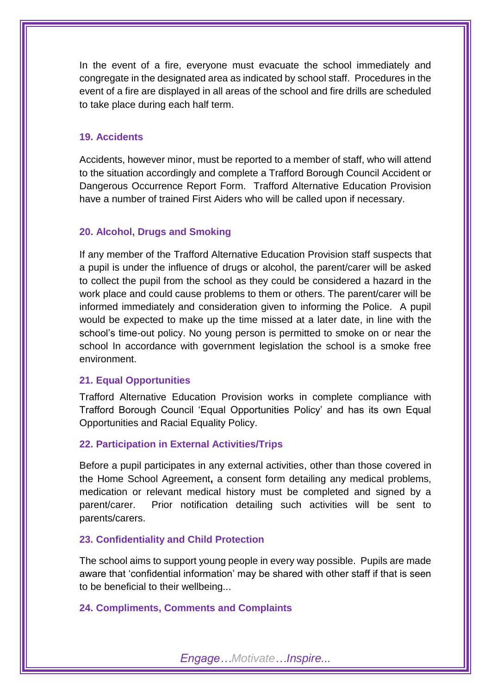In the event of a fire, everyone must evacuate the school immediately and congregate in the designated area as indicated by school staff. Procedures in the event of a fire are displayed in all areas of the school and fire drills are scheduled to take place during each half term.

### **19. Accidents**

Accidents, however minor, must be reported to a member of staff, who will attend to the situation accordingly and complete a Trafford Borough Council Accident or Dangerous Occurrence Report Form. Trafford Alternative Education Provision have a number of trained First Aiders who will be called upon if necessary.

# **20. Alcohol, Drugs and Smoking**

If any member of the Trafford Alternative Education Provision staff suspects that a pupil is under the influence of drugs or alcohol, the parent/carer will be asked to collect the pupil from the school as they could be considered a hazard in the work place and could cause problems to them or others. The parent/carer will be informed immediately and consideration given to informing the Police. A pupil would be expected to make up the time missed at a later date, in line with the school's time-out policy. No young person is permitted to smoke on or near the school In accordance with government legislation the school is a smoke free environment.

#### **21. Equal Opportunities**

Trafford Alternative Education Provision works in complete compliance with Trafford Borough Council 'Equal Opportunities Policy' and has its own Equal Opportunities and Racial Equality Policy.

## **22. Participation in External Activities/Trips**

Before a pupil participates in any external activities, other than those covered in the Home School Agreement**,** a consent form detailing any medical problems, medication or relevant medical history must be completed and signed by a parent/carer. Prior notification detailing such activities will be sent to parents/carers.

#### **23. Confidentiality and Child Protection**

The school aims to support young people in every way possible. Pupils are made aware that 'confidential information' may be shared with other staff if that is seen to be beneficial to their wellbeing...

# **24. Compliments, Comments and Complaints**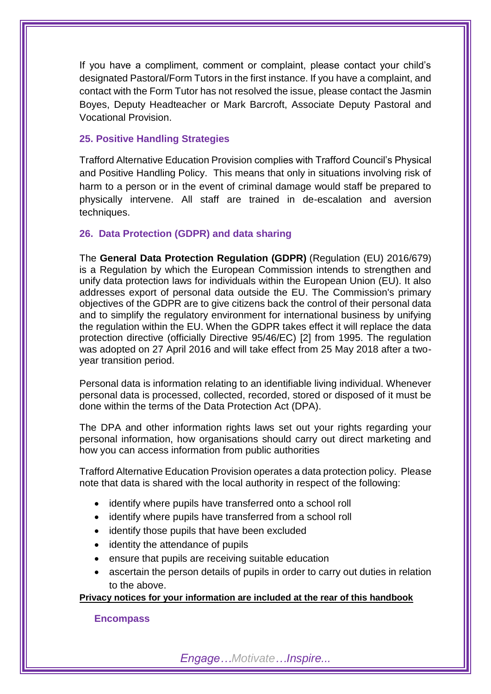If you have a compliment, comment or complaint, please contact your child's designated Pastoral/Form Tutors in the first instance. If you have a complaint, and contact with the Form Tutor has not resolved the issue, please contact the Jasmin Boyes, Deputy Headteacher or Mark Barcroft, Associate Deputy Pastoral and Vocational Provision.

## **25. Positive Handling Strategies**

Trafford Alternative Education Provision complies with Trafford Council's Physical and Positive Handling Policy. This means that only in situations involving risk of harm to a person or in the event of criminal damage would staff be prepared to physically intervene. All staff are trained in de-escalation and aversion techniques.

# **26. Data Protection (GDPR) and data sharing**

The **General Data Protection Regulation (GDPR)** (Regulation (EU) 2016/679) is a Regulation by which the European Commission intends to strengthen and unify data protection laws for individuals within the European Union (EU). It also addresses export of personal data outside the EU. The Commission's primary objectives of the GDPR are to give citizens back the control of their personal data and to simplify the regulatory environment for international business by unifying the regulation within the EU. When the GDPR takes effect it will replace the data protection directive (officially Directive 95/46/EC) [2] from 1995. The regulation was adopted on 27 April 2016 and will take effect from 25 May 2018 after a twoyear transition period.

Personal data is information relating to an identifiable living individual. Whenever personal data is processed, collected, recorded, stored or disposed of it must be done within the terms of the Data Protection Act (DPA).

The DPA and other information rights laws set out your rights regarding your personal information, how organisations should carry out direct marketing and how you can access information from public authorities

Trafford Alternative Education Provision operates a data protection policy. Please note that data is shared with the local authority in respect of the following:

- identify where pupils have transferred onto a school roll
- identify where pupils have transferred from a school roll
- identify those pupils that have been excluded
- identity the attendance of pupils
- ensure that pupils are receiving suitable education
- ascertain the person details of pupils in order to carry out duties in relation to the above.

**Privacy notices for your information are included at the rear of this handbook** 

**Encompass**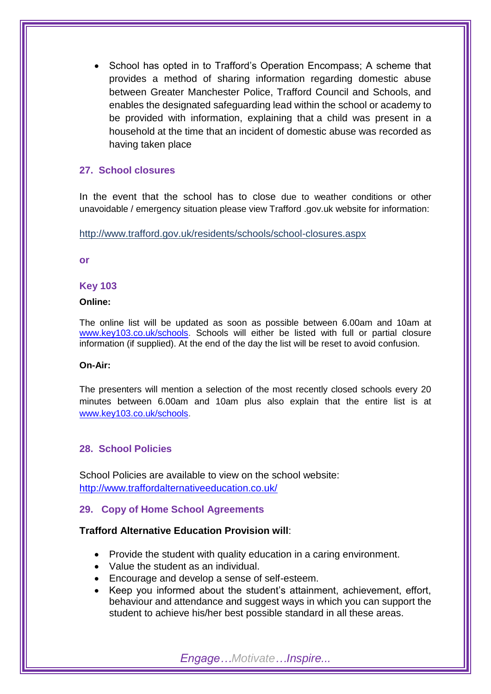School has opted in to Trafford's Operation Encompass; A scheme that provides a method of sharing information regarding domestic abuse between Greater Manchester Police, Trafford Council and Schools, and enables the designated safeguarding lead within the school or academy to be provided with information, explaining that a child was present in a household at the time that an incident of domestic abuse was recorded as having taken place

# **27. School closures**

In the event that the school has to close due to weather conditions or other unavoidable / emergency situation please view Trafford .gov.uk website for information:

http://www.trafford.gov.uk/residents/schools/school-closures.aspx

**or**

## **Key 103**

## **Online:**

The online list will be updated as soon as possible between 6.00am and 10am at [www.key103.co.uk/schools.](http://www.key103.co.uk/schools) Schools will either be listed with full or partial closure information (if supplied). At the end of the day the list will be reset to avoid confusion.

## **On-Air:**

The presenters will mention a selection of the most recently closed schools every 20 minutes between 6.00am and 10am plus also explain that the entire list is at [www.key103.co.uk/schools.](http://www.key103.co.uk/schools)

## **28. School Policies**

School Policies are available to view on the school website: <http://www.traffordalternativeeducation.co.uk/>

# **29. Copy of Home School Agreements**

## **Trafford Alternative Education Provision will**:

- Provide the student with quality education in a caring environment.
- Value the student as an individual.
- Encourage and develop a sense of self-esteem.
- Keep you informed about the student's attainment, achievement, effort, behaviour and attendance and suggest ways in which you can support the student to achieve his/her best possible standard in all these areas.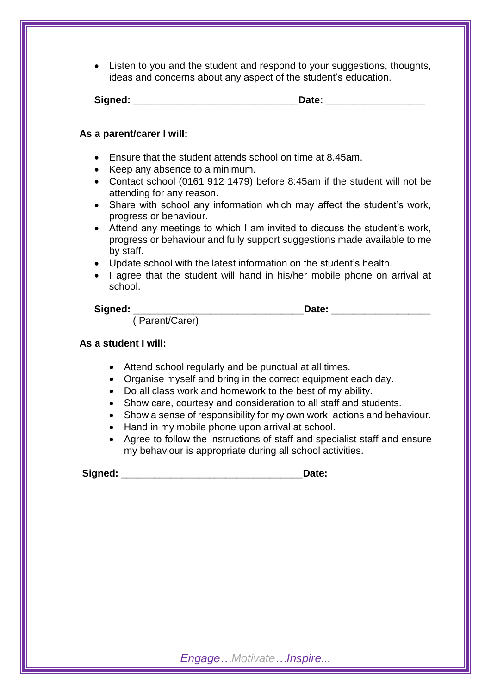Listen to you and the student and respond to your suggestions, thoughts, ideas and concerns about any aspect of the student's education.

| Signed: |  |
|---------|--|
|         |  |

# **As a parent/carer I will:**

- Ensure that the student attends school on time at 8.45am.
- Keep any absence to a minimum.
- Contact school (0161 912 1479) before 8:45am if the student will not be attending for any reason.
- Share with school any information which may affect the student's work, progress or behaviour.
- Attend any meetings to which I am invited to discuss the student's work, progress or behaviour and fully support suggestions made available to me by staff.
- Update school with the latest information on the student's health.
- I agree that the student will hand in his/her mobile phone on arrival at school.

# Signed: **Contract Contract Contract Contract Contract Contract Contract Contract Contract Contract Contract Contract Contract Contract Contract Contract Contract Contract Contract Contract Contract Contract Contract Contra**

( Parent/Carer)

# **As a student I will:**

- Attend school regularly and be punctual at all times.
- Organise myself and bring in the correct equipment each day.
- Do all class work and homework to the best of my ability.
- Show care, courtesy and consideration to all staff and students.
- Show a sense of responsibility for my own work, actions and behaviour.
- Hand in my mobile phone upon arrival at school.
- Agree to follow the instructions of staff and specialist staff and ensure my behaviour is appropriate during all school activities.

Signed: **Contains a Signed: Contains a Signed: Contains a Signed: Contains a Signed: Contains a Signed: Contains a Signed: Contains a Signed: Contains a Signed: Contains a Signed: Contains a Signed: Con**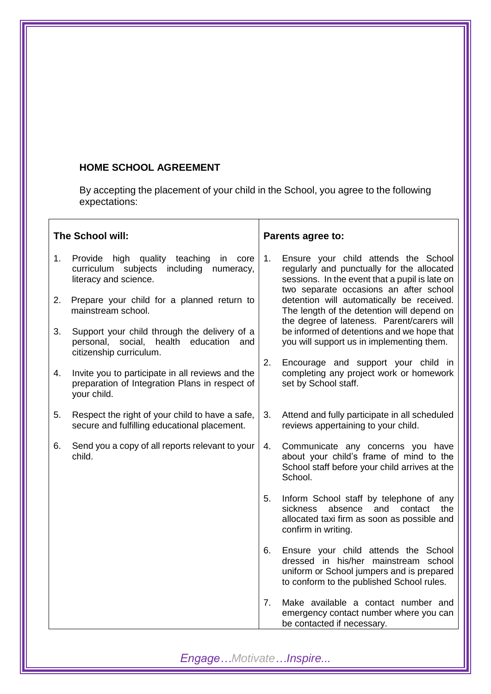# **HOME SCHOOL AGREEMENT**

By accepting the placement of your child in the School, you agree to the following expectations:

| The School will: |                                                                                                                       | Parents agree to: |                                                                                                                                                                                |
|------------------|-----------------------------------------------------------------------------------------------------------------------|-------------------|--------------------------------------------------------------------------------------------------------------------------------------------------------------------------------|
| 1.               | Provide high quality teaching<br>in<br>core<br>curriculum subjects<br>including<br>numeracy,<br>literacy and science. | 1.                | Ensure your child attends the School<br>regularly and punctually for the allocated<br>sessions. In the event that a pupil is late on<br>two separate occasions an after school |
| 2.               | Prepare your child for a planned return to<br>mainstream school.                                                      |                   | detention will automatically be received.<br>The length of the detention will depend on<br>the degree of lateness. Parent/carers will                                          |
| 3.               | Support your child through the delivery of a<br>personal, social, health education and<br>citizenship curriculum.     |                   | be informed of detentions and we hope that<br>you will support us in implementing them.                                                                                        |
| 4.               | Invite you to participate in all reviews and the<br>preparation of Integration Plans in respect of<br>your child.     | 2.                | Encourage and support your child in<br>completing any project work or homework<br>set by School staff.                                                                         |
| 5.               | Respect the right of your child to have a safe,<br>secure and fulfilling educational placement.                       | 3.                | Attend and fully participate in all scheduled<br>reviews appertaining to your child.                                                                                           |
| 6.               | Send you a copy of all reports relevant to your<br>child.                                                             | 4.                | Communicate any concerns you have<br>about your child's frame of mind to the<br>School staff before your child arrives at the<br>School.                                       |
|                  |                                                                                                                       | 5.                | Inform School staff by telephone of any<br>the<br>sickness<br>absence<br>and<br>contact<br>allocated taxi firm as soon as possible and<br>confirm in writing.                  |
|                  |                                                                                                                       | 6.                | Ensure your child attends the School<br>dressed in his/her mainstream school<br>uniform or School jumpers and is prepared<br>to conform to the published School rules.         |
|                  |                                                                                                                       | 7.                | Make available a contact number and<br>emergency contact number where you can<br>be contacted if necessary.                                                                    |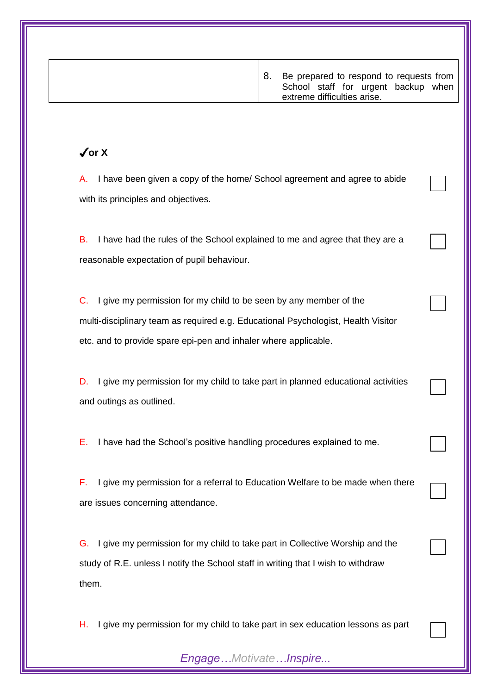| $\sqrt{or X}$<br>I have been given a copy of the home/ School agreement and agree to abide<br>А.<br>with its principles and objectives.                                                                                         |                                                                                 |  |  |
|---------------------------------------------------------------------------------------------------------------------------------------------------------------------------------------------------------------------------------|---------------------------------------------------------------------------------|--|--|
|                                                                                                                                                                                                                                 |                                                                                 |  |  |
|                                                                                                                                                                                                                                 |                                                                                 |  |  |
| I have had the rules of the School explained to me and agree that they are a<br>В.<br>reasonable expectation of pupil behaviour.                                                                                                |                                                                                 |  |  |
| I give my permission for my child to be seen by any member of the<br>C.<br>multi-disciplinary team as required e.g. Educational Psychologist, Health Visitor<br>etc. and to provide spare epi-pen and inhaler where applicable. |                                                                                 |  |  |
| I give my permission for my child to take part in planned educational activities<br>D.<br>and outings as outlined.                                                                                                              |                                                                                 |  |  |
| I have had the School's positive handling procedures explained to me.<br>Е.                                                                                                                                                     |                                                                                 |  |  |
| F.<br>I give my permission for a referral to Education Welfare to be made when there<br>are issues concerning attendance.                                                                                                       |                                                                                 |  |  |
| I give my permission for my child to take part in Collective Worship and the<br>G.<br>study of R.E. unless I notify the School staff in writing that I wish to withdraw<br>them.                                                |                                                                                 |  |  |
| Η.                                                                                                                                                                                                                              | I give my permission for my child to take part in sex education lessons as part |  |  |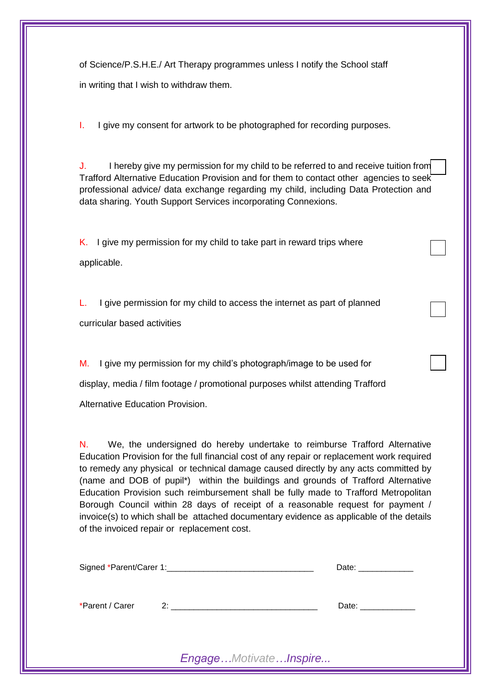of Science/P.S.H.E./ Art Therapy programmes unless I notify the School staff in writing that I wish to withdraw them.

I. I give my consent for artwork to be photographed for recording purposes.

J. I hereby give my permission for my child to be referred to and receive tuition from Trafford Alternative Education Provision and for them to contact other agencies to seek professional advice/ data exchange regarding my child, including Data Protection and data sharing. Youth Support Services incorporating Connexions.

K. I give my permission for my child to take part in reward trips where applicable.

L. I give permission for my child to access the internet as part of planned curricular based activities

M. I give my permission for my child's photograph/image to be used for display, media / film footage / promotional purposes whilst attending Trafford Alternative Education Provision.

N. We, the undersigned do hereby undertake to reimburse Trafford Alternative Education Provision for the full financial cost of any repair or replacement work required to remedy any physical or technical damage caused directly by any acts committed by (name and DOB of pupil\*) within the buildings and grounds of Trafford Alternative Education Provision such reimbursement shall be fully made to Trafford Metropolitan Borough Council within 28 days of receipt of a reasonable request for payment / invoice(s) to which shall be attached documentary evidence as applicable of the details of the invoiced repair or replacement cost.

|                 |  | Date: ______________ |
|-----------------|--|----------------------|
| *Parent / Carer |  | Date: _____________  |
|                 |  |                      |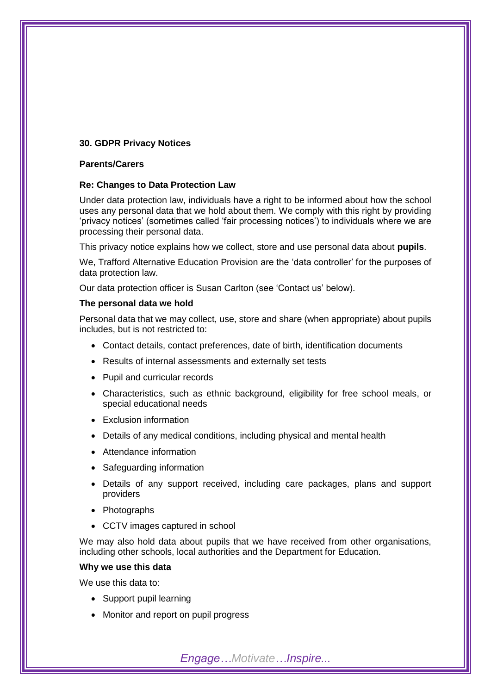#### **30. GDPR Privacy Notices**

#### **Parents/Carers**

#### **Re: Changes to Data Protection Law**

Under data protection law, individuals have a right to be informed about how the school uses any personal data that we hold about them. We comply with this right by providing 'privacy notices' (sometimes called 'fair processing notices') to individuals where we are processing their personal data.

This privacy notice explains how we collect, store and use personal data about **pupils**.

We, Trafford Alternative Education Provision are the 'data controller' for the purposes of data protection law.

Our data protection officer is Susan Carlton (see 'Contact us' below).

#### **The personal data we hold**

Personal data that we may collect, use, store and share (when appropriate) about pupils includes, but is not restricted to:

- Contact details, contact preferences, date of birth, identification documents
- Results of internal assessments and externally set tests
- Pupil and curricular records
- Characteristics, such as ethnic background, eligibility for free school meals, or special educational needs
- Exclusion information
- Details of any medical conditions, including physical and mental health
- Attendance information
- Safeguarding information
- Details of any support received, including care packages, plans and support providers
- Photographs
- CCTV images captured in school

We may also hold data about pupils that we have received from other organisations, including other schools, local authorities and the Department for Education.

*Engage…Motivate…Inspire...*

#### **Why we use this data**

We use this data to:

- Support pupil learning
- Monitor and report on pupil progress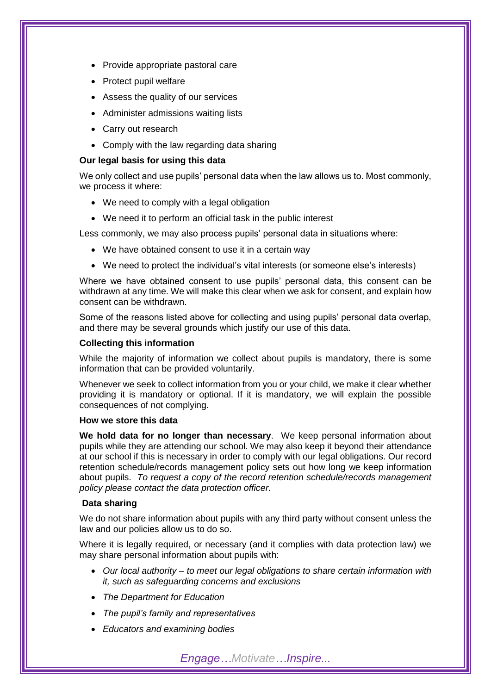- Provide appropriate pastoral care
- **Protect pupil welfare**
- Assess the quality of our services
- Administer admissions waiting lists
- Carry out research
- Comply with the law regarding data sharing

#### **Our legal basis for using this data**

We only collect and use pupils' personal data when the law allows us to. Most commonly, we process it where:

- We need to comply with a legal obligation
- We need it to perform an official task in the public interest

Less commonly, we may also process pupils' personal data in situations where:

- We have obtained consent to use it in a certain way
- We need to protect the individual's vital interests (or someone else's interests)

Where we have obtained consent to use pupils' personal data, this consent can be withdrawn at any time. We will make this clear when we ask for consent, and explain how consent can be withdrawn.

Some of the reasons listed above for collecting and using pupils' personal data overlap, and there may be several grounds which justify our use of this data.

#### **Collecting this information**

While the majority of information we collect about pupils is mandatory, there is some information that can be provided voluntarily.

Whenever we seek to collect information from you or your child, we make it clear whether providing it is mandatory or optional. If it is mandatory, we will explain the possible consequences of not complying.

#### **How we store this data**

**We hold data for no longer than necessary**. We keep personal information about pupils while they are attending our school. We may also keep it beyond their attendance at our school if this is necessary in order to comply with our legal obligations. Our record retention schedule/records management policy sets out how long we keep information about pupils. *To request a copy of the record retention schedule/records management policy please contact the data protection officer.*

#### **Data sharing**

We do not share information about pupils with any third party without consent unless the law and our policies allow us to do so.

Where it is legally required, or necessary (and it complies with data protection law) we may share personal information about pupils with:

- *Our local authority – to meet our legal obligations to share certain information with it, such as safeguarding concerns and exclusions*
- *The Department for Education*
- *The pupil's family and representatives*
- *Educators and examining bodies*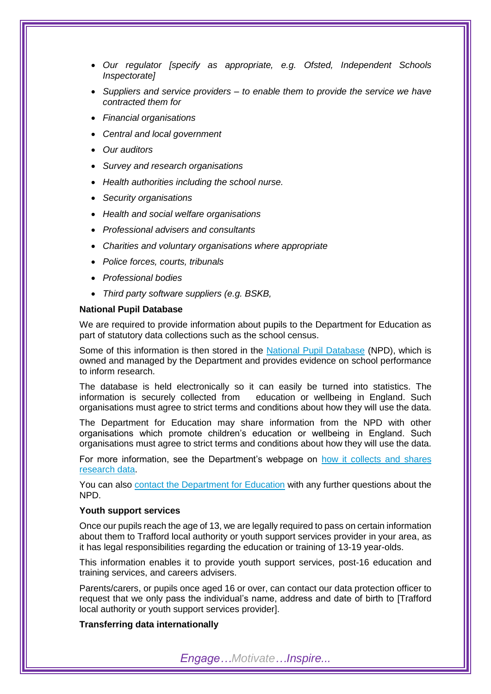- *Our regulator [specify as appropriate, e.g. Ofsted, Independent Schools Inspectorate]*
- *Suppliers and service providers – to enable them to provide the service we have contracted them for*
- *Financial organisations*
- *Central and local government*
- *Our auditors*
- *Survey and research organisations*
- *Health authorities including the school nurse.*
- *Security organisations*
- *Health and social welfare organisations*
- *Professional advisers and consultants*
- *Charities and voluntary organisations where appropriate*
- *Police forces, courts, tribunals*
- *Professional bodies*
- *Third party software suppliers (e.g. BSKB,*

#### **National Pupil Database**

We are required to provide information about pupils to the Department for Education as part of statutory data collections such as the school census.

Some of this information is then stored in the [National Pupil Database](https://www.gov.uk/government/publications/national-pupil-database-user-guide-and-supporting-information) (NPD), which is owned and managed by the Department and provides evidence on school performance to inform research.

The database is held electronically so it can easily be turned into statistics. The information is securely collected from education or wellbeing in England. Such organisations must agree to strict terms and conditions about how they will use the data.

The Department for Education may share information from the NPD with other organisations which promote children's education or wellbeing in England. Such organisations must agree to strict terms and conditions about how they will use the data.

For more information, see the Department's webpage on [how it collects and shares](https://www.gov.uk/data-protection-how-we-collect-and-share-research-data)  [research data.](https://www.gov.uk/data-protection-how-we-collect-and-share-research-data)

You can also [contact the Department for Education](https://www.gov.uk/contact-dfe) with any further questions about the NPD.

#### **Youth support services**

Once our pupils reach the age of 13, we are legally required to pass on certain information about them to Trafford local authority or youth support services provider in your area, as it has legal responsibilities regarding the education or training of 13-19 year-olds.

This information enables it to provide youth support services, post-16 education and training services, and careers advisers.

Parents/carers, or pupils once aged 16 or over, can contact our data protection officer to request that we only pass the individual's name, address and date of birth to [Trafford local authority or youth support services provider].

#### **Transferring data internationally**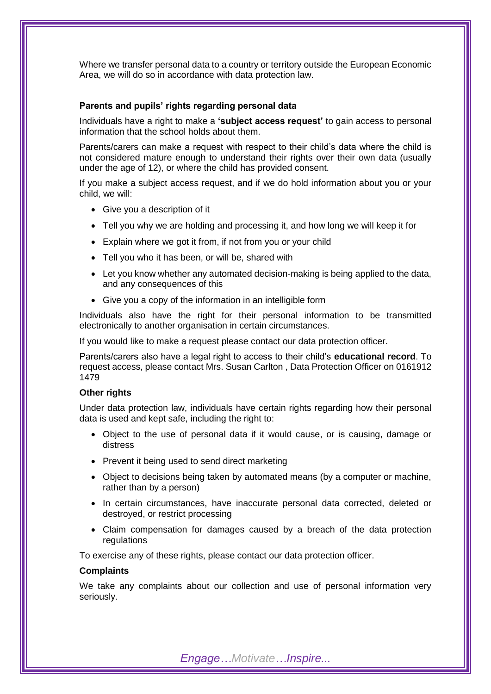Where we transfer personal data to a country or territory outside the European Economic Area, we will do so in accordance with data protection law.

#### **Parents and pupils' rights regarding personal data**

Individuals have a right to make a **'subject access request'** to gain access to personal information that the school holds about them.

Parents/carers can make a request with respect to their child's data where the child is not considered mature enough to understand their rights over their own data (usually under the age of 12), or where the child has provided consent.

If you make a subject access request, and if we do hold information about you or your child, we will:

- Give you a description of it
- Tell you why we are holding and processing it, and how long we will keep it for
- Explain where we got it from, if not from you or your child
- Tell you who it has been, or will be, shared with
- Let you know whether any automated decision-making is being applied to the data, and any consequences of this
- Give you a copy of the information in an intelligible form

Individuals also have the right for their personal information to be transmitted electronically to another organisation in certain circumstances.

If you would like to make a request please contact our data protection officer.

Parents/carers also have a legal right to access to their child's **educational record**. To request access, please contact Mrs. Susan Carlton , Data Protection Officer on 0161912 1479

#### **Other rights**

Under data protection law, individuals have certain rights regarding how their personal data is used and kept safe, including the right to:

- Object to the use of personal data if it would cause, or is causing, damage or distress
- Prevent it being used to send direct marketing
- Object to decisions being taken by automated means (by a computer or machine, rather than by a person)
- In certain circumstances, have inaccurate personal data corrected, deleted or destroyed, or restrict processing
- Claim compensation for damages caused by a breach of the data protection regulations

To exercise any of these rights, please contact our data protection officer.

#### **Complaints**

We take any complaints about our collection and use of personal information very seriously.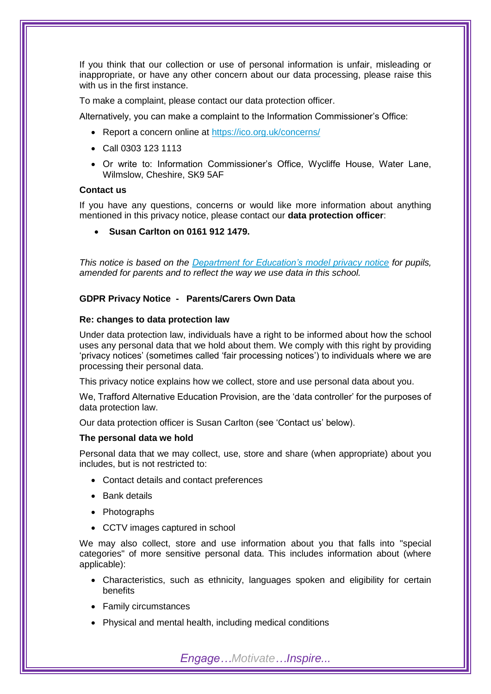If you think that our collection or use of personal information is unfair, misleading or inappropriate, or have any other concern about our data processing, please raise this with us in the first instance.

To make a complaint, please contact our data protection officer.

Alternatively, you can make a complaint to the Information Commissioner's Office:

- Report a concern online at<https://ico.org.uk/concerns/>
- Call 0303 123 1113
- Or write to: Information Commissioner's Office, Wycliffe House, Water Lane, Wilmslow, Cheshire, SK9 5AF

#### **Contact us**

If you have any questions, concerns or would like more information about anything mentioned in this privacy notice, please contact our **data protection officer**:

**Susan Carlton on 0161 912 1479.**

*This notice is based on the [Department for Education's model privacy notice](https://www.gov.uk/government/publications/data-protection-and-privacy-privacy-notices) for pupils, amended for parents and to reflect the way we use data in this school.*

#### **GDPR Privacy Notice - Parents/Carers Own Data**

#### **Re: changes to data protection law**

Under data protection law, individuals have a right to be informed about how the school uses any personal data that we hold about them. We comply with this right by providing 'privacy notices' (sometimes called 'fair processing notices') to individuals where we are processing their personal data.

This privacy notice explains how we collect, store and use personal data about you.

We, Trafford Alternative Education Provision, are the 'data controller' for the purposes of data protection law.

Our data protection officer is Susan Carlton (see 'Contact us' below).

#### **The personal data we hold**

Personal data that we may collect, use, store and share (when appropriate) about you includes, but is not restricted to:

- Contact details and contact preferences
- Bank details
- Photographs
- CCTV images captured in school

We may also collect, store and use information about you that falls into "special categories" of more sensitive personal data. This includes information about (where applicable):

- Characteristics, such as ethnicity, languages spoken and eligibility for certain benefits
- Family circumstances
- Physical and mental health, including medical conditions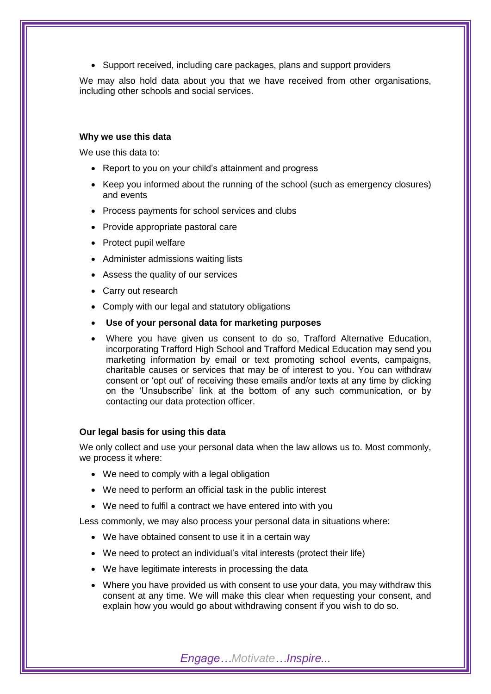• Support received, including care packages, plans and support providers

We may also hold data about you that we have received from other organisations, including other schools and social services.

#### **Why we use this data**

We use this data to:

- Report to you on your child's attainment and progress
- Keep you informed about the running of the school (such as emergency closures) and events
- Process payments for school services and clubs
- Provide appropriate pastoral care
- Protect pupil welfare
- Administer admissions waiting lists
- Assess the quality of our services
- Carry out research
- Comply with our legal and statutory obligations
- **Use of your personal data for marketing purposes**
- Where you have given us consent to do so, Trafford Alternative Education, incorporating Trafford High School and Trafford Medical Education may send you marketing information by email or text promoting school events, campaigns, charitable causes or services that may be of interest to you. You can withdraw consent or 'opt out' of receiving these emails and/or texts at any time by clicking on the 'Unsubscribe' link at the bottom of any such communication, or by contacting our data protection officer.

#### **Our legal basis for using this data**

We only collect and use your personal data when the law allows us to. Most commonly, we process it where:

- We need to comply with a legal obligation
- We need to perform an official task in the public interest
- We need to fulfil a contract we have entered into with you

Less commonly, we may also process your personal data in situations where:

- We have obtained consent to use it in a certain way
- We need to protect an individual's vital interests (protect their life)
- We have legitimate interests in processing the data
- Where you have provided us with consent to use your data, you may withdraw this consent at any time. We will make this clear when requesting your consent, and explain how you would go about withdrawing consent if you wish to do so.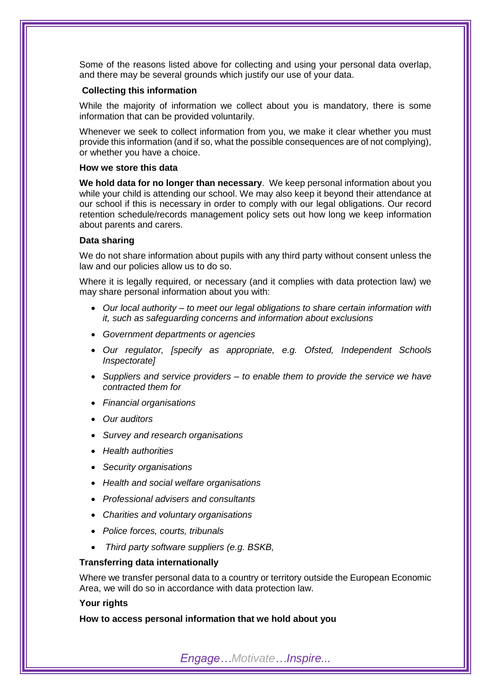Some of the reasons listed above for collecting and using your personal data overlap, and there may be several grounds which justify our use of your data.

#### **Collecting this information**

While the majority of information we collect about you is mandatory, there is some information that can be provided voluntarily.

Whenever we seek to collect information from you, we make it clear whether you must provide this information (and if so, what the possible consequences are of not complying), or whether you have a choice.

#### **How we store this data**

**We hold data for no longer than necessary**. We keep personal information about you while your child is attending our school. We may also keep it beyond their attendance at our school if this is necessary in order to comply with our legal obligations. Our record retention schedule/records management policy sets out how long we keep information about parents and carers.

#### **Data sharing**

We do not share information about pupils with any third party without consent unless the law and our policies allow us to do so.

Where it is legally required, or necessary (and it complies with data protection law) we may share personal information about you with:

- *Our local authority – to meet our legal obligations to share certain information with it, such as safeguarding concerns and information about exclusions*
- *Government departments or agencies*
- *Our regulator, [specify as appropriate, e.g. Ofsted, Independent Schools Inspectorate]*
- *Suppliers and service providers – to enable them to provide the service we have contracted them for*
- *Financial organisations*
- *Our auditors*
- *Survey and research organisations*
- *Health authorities*
- *Security organisations*
- *Health and social welfare organisations*
- *Professional advisers and consultants*
- *Charities and voluntary organisations*
- *Police forces, courts, tribunals*
- *Third party software suppliers (e.g. BSKB,*

#### **Transferring data internationally**

Where we transfer personal data to a country or territory outside the European Economic Area, we will do so in accordance with data protection law.

#### **Your rights**

**How to access personal information that we hold about you**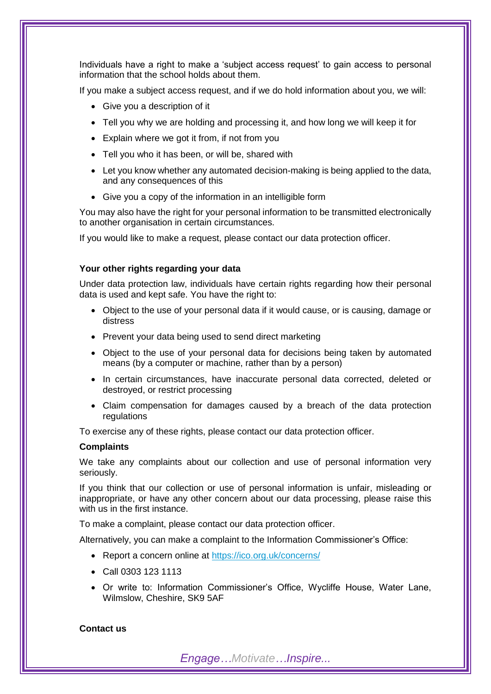Individuals have a right to make a 'subject access request' to gain access to personal information that the school holds about them.

If you make a subject access request, and if we do hold information about you, we will:

- Give you a description of it
- Tell you why we are holding and processing it, and how long we will keep it for
- Explain where we got it from, if not from you
- Tell you who it has been, or will be, shared with
- Let you know whether any automated decision-making is being applied to the data, and any consequences of this
- Give you a copy of the information in an intelligible form

You may also have the right for your personal information to be transmitted electronically to another organisation in certain circumstances.

If you would like to make a request, please contact our data protection officer.

#### **Your other rights regarding your data**

Under data protection law, individuals have certain rights regarding how their personal data is used and kept safe. You have the right to:

- Object to the use of your personal data if it would cause, or is causing, damage or distress
- Prevent your data being used to send direct marketing
- Object to the use of your personal data for decisions being taken by automated means (by a computer or machine, rather than by a person)
- In certain circumstances, have inaccurate personal data corrected, deleted or destroyed, or restrict processing
- Claim compensation for damages caused by a breach of the data protection regulations

To exercise any of these rights, please contact our data protection officer.

#### **Complaints**

We take any complaints about our collection and use of personal information very seriously.

If you think that our collection or use of personal information is unfair, misleading or inappropriate, or have any other concern about our data processing, please raise this with us in the first instance.

To make a complaint, please contact our data protection officer.

Alternatively, you can make a complaint to the Information Commissioner's Office:

- Report a concern online at<https://ico.org.uk/concerns/>
- Call 0303 123 1113
- Or write to: Information Commissioner's Office, Wycliffe House, Water Lane, Wilmslow, Cheshire, SK9 5AF

#### **Contact us**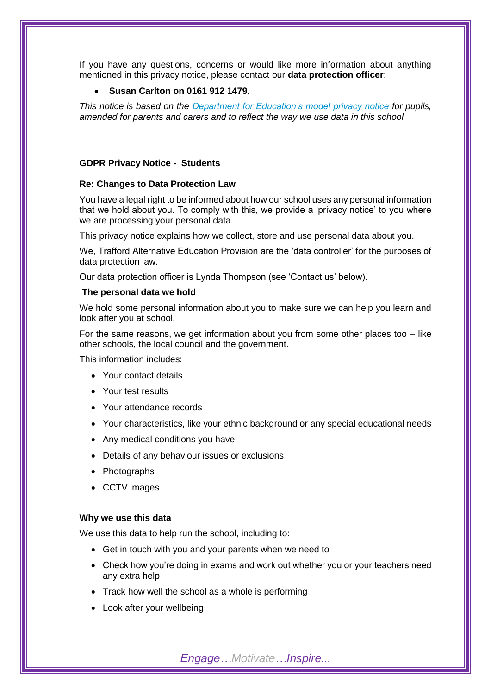If you have any questions, concerns or would like more information about anything mentioned in this privacy notice, please contact our **data protection officer**:

#### **Susan Carlton on 0161 912 1479.**

*This notice is based on the [Department for Education's model privacy notice](https://www.gov.uk/government/publications/data-protection-and-privacy-privacy-notices) for pupils, amended for parents and carers and to reflect the way we use data in this school*

#### **GDPR Privacy Notice - Students**

#### **Re: Changes to Data Protection Law**

You have a legal right to be informed about how our school uses any personal information that we hold about you. To comply with this, we provide a 'privacy notice' to you where we are processing your personal data.

This privacy notice explains how we collect, store and use personal data about you.

We, Trafford Alternative Education Provision are the 'data controller' for the purposes of data protection law.

Our data protection officer is Lynda Thompson (see 'Contact us' below).

#### **The personal data we hold**

We hold some personal information about you to make sure we can help you learn and look after you at school.

For the same reasons, we get information about you from some other places too  $-$  like other schools, the local council and the government.

This information includes:

- Your contact details
- Your test results
- Your attendance records
- Your characteristics, like your ethnic background or any special educational needs
- Any medical conditions you have
- Details of any behaviour issues or exclusions
- Photographs
- CCTV images

#### **Why we use this data**

We use this data to help run the school, including to:

- Get in touch with you and your parents when we need to
- Check how you're doing in exams and work out whether you or your teachers need any extra help
- Track how well the school as a whole is performing
- Look after your wellbeing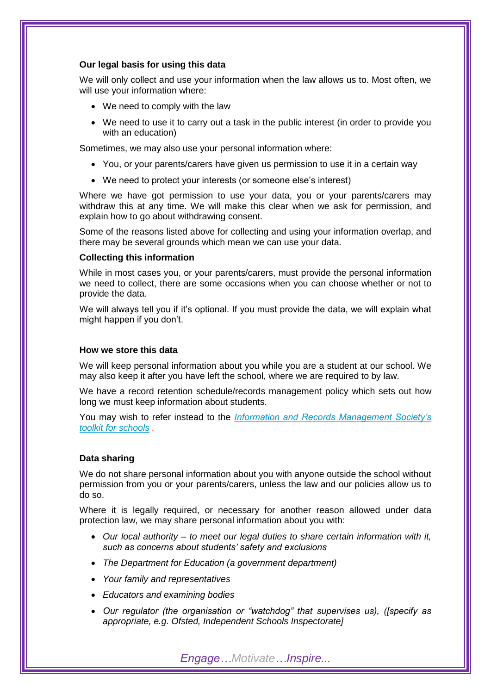#### **Our legal basis for using this data**

We will only collect and use your information when the law allows us to. Most often, we will use your information where:

- We need to comply with the law
- We need to use it to carry out a task in the public interest (in order to provide you with an education)

Sometimes, we may also use your personal information where:

- You, or your parents/carers have given us permission to use it in a certain way
- We need to protect your interests (or someone else's interest)

Where we have got permission to use your data, you or your parents/carers may withdraw this at any time. We will make this clear when we ask for permission, and explain how to go about withdrawing consent.

Some of the reasons listed above for collecting and using your information overlap, and there may be several grounds which mean we can use your data.

#### **Collecting this information**

While in most cases you, or your parents/carers, must provide the personal information we need to collect, there are some occasions when you can choose whether or not to provide the data.

We will always tell you if it's optional. If you must provide the data, we will explain what might happen if you don't.

#### **How we store this data**

We will keep personal information about you while you are a student at our school. We may also keep it after you have left the school, where we are required to by law.

We have a record retention schedule/records management policy which sets out how long we must keep information about students.

You may wish to refer instead to the *[Information and Records Management Society's](http://irms.org.uk/?page=schoolstoolkit&terms=%22toolkit+and+schools%22)  [toolkit for schools](http://irms.org.uk/?page=schoolstoolkit&terms=%22toolkit+and+schools%22) .*

#### **Data sharing**

We do not share personal information about you with anyone outside the school without permission from you or your parents/carers, unless the law and our policies allow us to do so.

Where it is legally required, or necessary for another reason allowed under data protection law, we may share personal information about you with:

- *Our local authority – to meet our legal duties to share certain information with it, such as concerns about students' safety and exclusions*
- *The Department for Education (a government department)*
- *Your family and representatives*
- *Educators and examining bodies*
- *Our regulator (the organisation or "watchdog" that supervises us), ([specify as appropriate, e.g. Ofsted, Independent Schools Inspectorate]*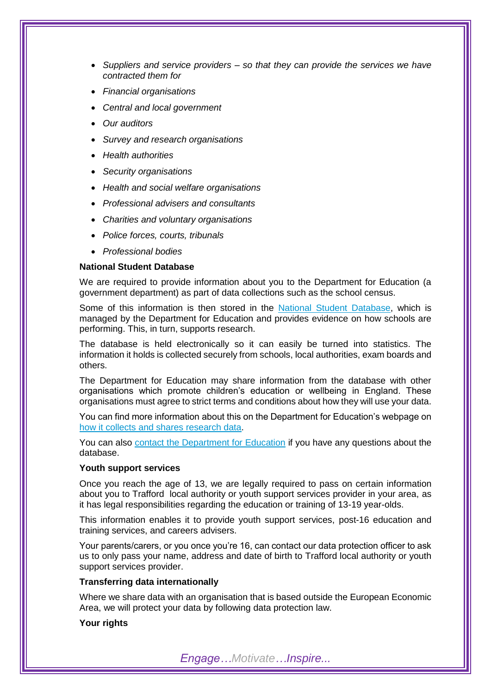- *Suppliers and service providers – so that they can provide the services we have contracted them for*
- *Financial organisations*
- *Central and local government*
- *Our auditors*
- *Survey and research organisations*
- *Health authorities*
- *Security organisations*
- *Health and social welfare organisations*
- *Professional advisers and consultants*
- *Charities and voluntary organisations*
- *Police forces, courts, tribunals*
- *Professional bodies*

# **National Student Database**

We are required to provide information about you to the Department for Education (a government department) as part of data collections such as the school census.

Some of this information is then stored in the [National Student Database,](https://www.gov.uk/government/publications/national-pupil-database-user-guide-and-supporting-information) which is managed by the Department for Education and provides evidence on how schools are performing. This, in turn, supports research.

The database is held electronically so it can easily be turned into statistics. The information it holds is collected securely from schools, local authorities, exam boards and others.

The Department for Education may share information from the database with other organisations which promote children's education or wellbeing in England. These organisations must agree to strict terms and conditions about how they will use your data.

You can find more information about this on the Department for Education's webpage on [how it collects and shares research data.](https://www.gov.uk/data-protection-how-we-collect-and-share-research-data)

You can also [contact the Department for Education](https://www.gov.uk/contact-dfe) if you have any questions about the database.

#### **Youth support services**

Once you reach the age of 13, we are legally required to pass on certain information about you to Trafford local authority or youth support services provider in your area, as it has legal responsibilities regarding the education or training of 13-19 year-olds.

This information enables it to provide youth support services, post-16 education and training services, and careers advisers.

Your parents/carers, or you once you're 16, can contact our data protection officer to ask us to only pass your name, address and date of birth to Trafford local authority or youth support services provider.

### **Transferring data internationally**

Where we share data with an organisation that is based outside the European Economic Area, we will protect your data by following data protection law.

# **Your rights**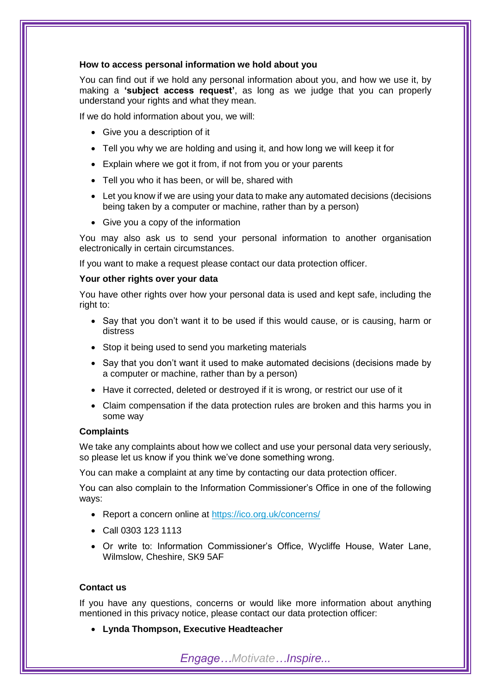#### **How to access personal information we hold about you**

You can find out if we hold any personal information about you, and how we use it, by making a **'subject access request'**, as long as we judge that you can properly understand your rights and what they mean.

If we do hold information about you, we will:

- Give you a description of it
- Tell you why we are holding and using it, and how long we will keep it for
- Explain where we got it from, if not from you or your parents
- Tell you who it has been, or will be, shared with
- Let you know if we are using your data to make any automated decisions (decisions being taken by a computer or machine, rather than by a person)
- Give you a copy of the information

You may also ask us to send your personal information to another organisation electronically in certain circumstances.

If you want to make a request please contact our data protection officer.

#### **Your other rights over your data**

You have other rights over how your personal data is used and kept safe, including the right to:

- Say that you don't want it to be used if this would cause, or is causing, harm or distress
- Stop it being used to send you marketing materials
- Say that you don't want it used to make automated decisions (decisions made by a computer or machine, rather than by a person)
- Have it corrected, deleted or destroyed if it is wrong, or restrict our use of it
- Claim compensation if the data protection rules are broken and this harms you in some way

#### **Complaints**

We take any complaints about how we collect and use your personal data very seriously, so please let us know if you think we've done something wrong.

You can make a complaint at any time by contacting our data protection officer.

You can also complain to the Information Commissioner's Office in one of the following ways:

- Report a concern online at<https://ico.org.uk/concerns/>
- Call 0303 123 1113
- Or write to: Information Commissioner's Office, Wycliffe House, Water Lane, Wilmslow, Cheshire, SK9 5AF

## **Contact us**

If you have any questions, concerns or would like more information about anything mentioned in this privacy notice, please contact our data protection officer:

**Lynda Thompson, Executive Headteacher**